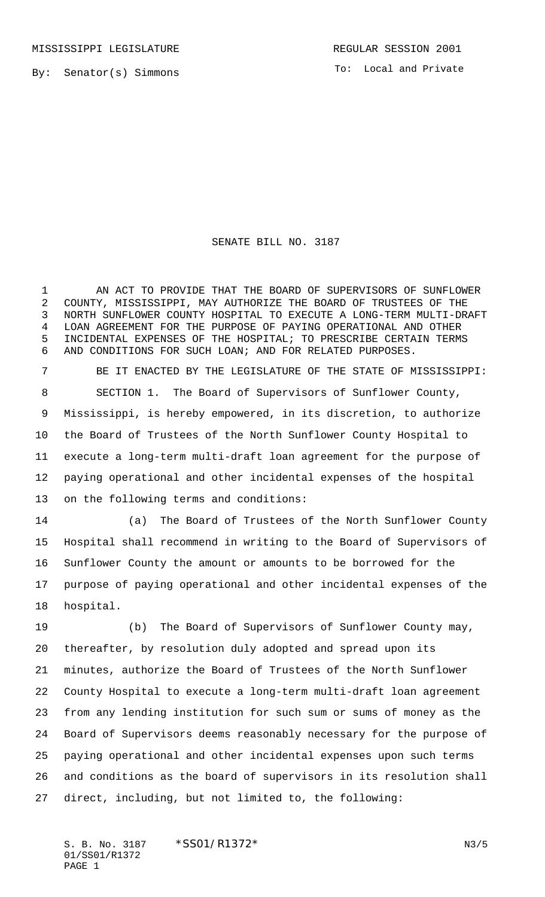To: Local and Private

## SENATE BILL NO. 3187

1 AN ACT TO PROVIDE THAT THE BOARD OF SUPERVISORS OF SUNFLOWER COUNTY, MISSISSIPPI, MAY AUTHORIZE THE BOARD OF TRUSTEES OF THE NORTH SUNFLOWER COUNTY HOSPITAL TO EXECUTE A LONG-TERM MULTI-DRAFT LOAN AGREEMENT FOR THE PURPOSE OF PAYING OPERATIONAL AND OTHER INCIDENTAL EXPENSES OF THE HOSPITAL; TO PRESCRIBE CERTAIN TERMS AND CONDITIONS FOR SUCH LOAN; AND FOR RELATED PURPOSES.

 BE IT ENACTED BY THE LEGISLATURE OF THE STATE OF MISSISSIPPI: SECTION 1. The Board of Supervisors of Sunflower County, Mississippi, is hereby empowered, in its discretion, to authorize the Board of Trustees of the North Sunflower County Hospital to execute a long-term multi-draft loan agreement for the purpose of paying operational and other incidental expenses of the hospital on the following terms and conditions:

 (a) The Board of Trustees of the North Sunflower County Hospital shall recommend in writing to the Board of Supervisors of Sunflower County the amount or amounts to be borrowed for the purpose of paying operational and other incidental expenses of the hospital.

 (b) The Board of Supervisors of Sunflower County may, thereafter, by resolution duly adopted and spread upon its minutes, authorize the Board of Trustees of the North Sunflower County Hospital to execute a long-term multi-draft loan agreement from any lending institution for such sum or sums of money as the Board of Supervisors deems reasonably necessary for the purpose of paying operational and other incidental expenses upon such terms and conditions as the board of supervisors in its resolution shall direct, including, but not limited to, the following:

S. B. No. 3187 \* SS01/R1372\* N3/5 01/SS01/R1372 PAGE 1